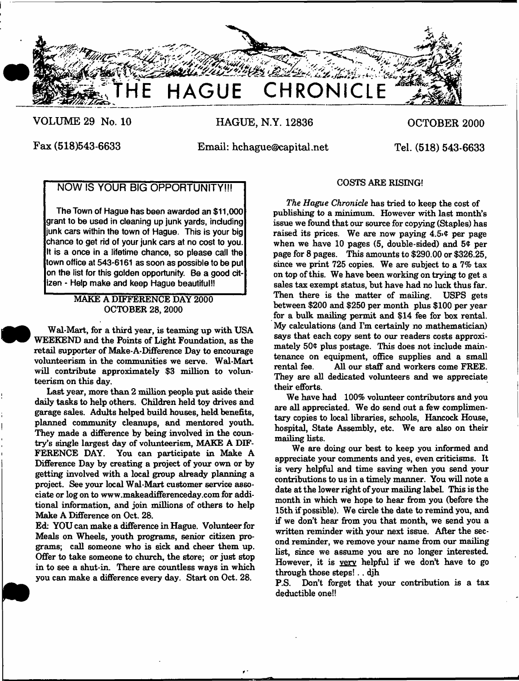

**VOLUME 29 No. 10**

**HAGUE, N.Y. 12836**

**OCTOBER 2000**

**Fax (518)543-6633**

I

**Email: [hchague@capital.net](mailto:hchague@capital.net)**

**Tel. (518) 543-6633**

# **NOW IS YOUR BIG OPPORTUNITY!!!**

**The Town of Hague has been awarded an \$11,000 grant to be used in cleaning up junk yards, including junk cars within the town of Hague. This is your big chance to get rid of your junk cars at no cost to you. It is a once in a lifetime chance, so please call the town office at 543-6161 as soon as possible to be put on the list for this golden opportunity. Be a good citizen - Help make and keep Hague beautiful!!**

> MAKE A DIFFERENCE DAY 2000 OCTOBER 28, 2000

Wal-Mart, for a third year, is teaming up with USA WEEKEND and the Points of Light Foundation, as the retail supporter of Make-A-Difference Day to encourage volunteerism in the communities we serve. Wal-Mart will contribute approximately \$3 million to volunteerism on this day.

Last year, more than 2 million people put aside their daily tasks to help others. Children held toy drives and garage sales. Adults helped build houses, held benefits, planned community cleanups, and mentored youth. They made a difference by being involved in the country's single largest day of volunteerism, MAKE A DIF-FERENCE DAY. You can participate in Make A Difference Day by creating a project of your own or by getting involved with a local group already planning a project. See your local Wal-Mart customer service associate or log on to [www.makeadifferenceday.com](http://www.makeadifferenceday.com) for additional information, and join millions of others to help Make A Difference on Oct. 28.

Ed: YOU can make a difference in Hague. Volunteer for Meals on Wheels, youth programs, senior citizen programs: call someone who is sick and cheer them up. Offer to take someone to church, the store; or just stop in to see a shut-in. There are countless ways in which you can make a difference every day. Start on Oct. 28.

## COSTS ARE RISING!

*The Hague Chronicle* has tried to keep the cost of publishing to a minimum. However with last month's issue we found that our source for copying (Staples) has raised its prices. We are now paying  $4.5$   $\ell$  per page when we have 10 pages  $(5,$  double-sided) and  $5¢$  per page for 8 pages. This amounts to \$290.00 or \$326.25, since we print 725 copies. We are subject to a 7% tax on top of this. We have been working on trying to get a sales tax exempt status, but have had no luck thus far. Then there is the matter of mailing. USPS gets between \$200 and \$250 per month plus \$100 per year for a bulk mailing permit and \$14 fee for box rental. My calculations (and I'm certainly no mathematician) says that each copy sent to our readers costs approximately 50 $\degree$  plus postage. This does not include maintenance on equipment, office supplies and a small All our staff and workers come FREE. They are all dedicated volunteers and we appreciate their efforts.

We have had 100% volunteer contributors and you are all appreciated. We do send out a few complimentary copies to local libraries, schools, Hancock House, hospital, State Assembly, etc. We are also on their mailing lists.

We are doing our best to keep you informed and appreciate your comments and yes, even criticisms. It is very helpful and time saving when you send your contributions to us in a timely manner. You will note a date at the lower right of your mailing labeL This is the month in which we hope to hear from you (before the 15th if possible). We circle the date to remind you, and if we don't hear from you that month, we send you a written reminder with your next issue. After the second reminder, we remove your name from our mailing list, since we assume you are no longer interested. However, it is very helpful if we don't have to go through those steps! . . djh

P.S. Don't forget that your contribution is a tax deductible one!!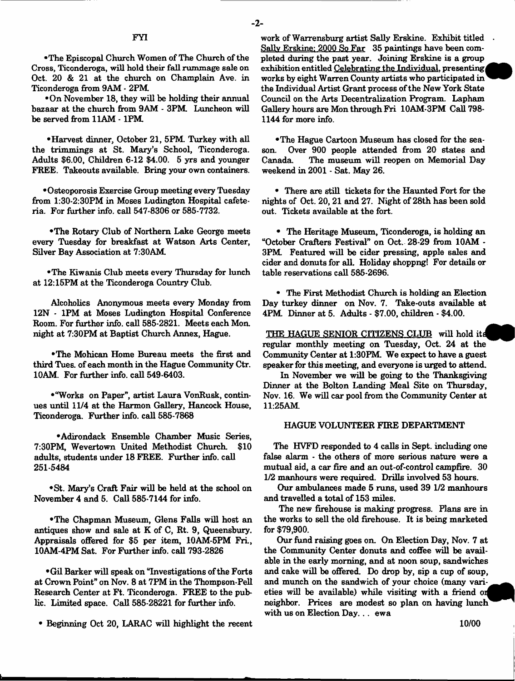#### **FY1**

•The Episcopal Church Women of The Church of the Cross, Ticonderoga, will hold their fall rummage sale on Oct. 20 & 21 at the church on Champlain Ave. in Ticonderoga from 9AM \* 2PM.

•On November 18, they will be holding their annual bazaar at the church from 9AM - 3PM Luncheon will be served from 11AM - 1PM

•Harvest dinner, October 21, 5PM. Turkey with all the trimmings at St. Mary's School, Ticonderoga. Adults \$6.00, Children 6-12 \$4.00. 5 yrs and younger FREE. Takeouts available. Bring your own containers.

•Osteoporosis Exercise Group meeting every Tuesday from 1:30-2:30PM in Moses Ludington Hospital cafeteria. For further info, call 547-8306 or 585-7732.

•The Rotary Club of Northern Lake George meets every Tuesday for breakfast at Watson Arts Center, Silver Bay Association at 7:30AM

•The Kiwanis Club meets every Thursday for lunch at 12:15PM at the Ticonderoga Country Club.

Alcoholics Anonymous meets every Monday from 12N - 1PM at Moses Ludington Hospital Conference Room. For further info, call 585-2821. Meets each Mon. night at 7:30PM at Baptist Church Annex, Hague.

•The Mohican Home Bureau meets the first and third Tues. of each month in the Hague Community Ctr. 10AM. For further info, call 549-6403.

•"Works on Paper", artist Laura VonRusk, continues until 11/4 at the Harmon Gallery, Hancock House, Ticonderoga. Further info, call 585-7868

•Adirondack Ensemble Chamber Music Series, 7:30PM, Wevertown United Methodist Church. \$10 adults, students under 18 FREE. Further info, call 251-5484

♦St. Mary's Craft Fair will be held at the school on November 4 and 5. Call 585-7144 for info.

•The Chapman Museum, Glens Falls will host an antiques show and sale at K of C, Rt. 9, Queensbury. Appraisals offered for \$5 per item, 10AM-5PM Fri., 10AM-4PM Sat. For Further info, call 793-2826

•Gil Barker will speak on "Investigations of the Forts at Crown Point" on Nov. 8 at 7PM in the Thompson-Pell Research Center at Ft. Ticonderoga. FREE to the public. Limited space. Call 585-28221 for further info.

• Beginning Oct 20, LARAC will highlight the recent

work of Warrensburg artist Sally Erskine. Exhibit titled Sally Erskine: 2000 So Far 35 paintings have been completed during the past year. Joining Erskine is a group exhibition entitled Celebrating the Individual, presenting works by eight Warren County artists who participated in the Individual Artist Grant process of the New York State Council on the Arts Decentralization Program. Lapham Gallery hours are Mon through Fri 10AM-3PM Call 798- 1144 for more info.

•The Hague Cartoon Museum has closed for the season. Over 900 people attended from 20 states and Canada. The museum will reopen on Memorial Day weekend in 2001 - Sat. May 26.

• There are still tickets for the Haunted Fort for the nights of Oct. 20,21 and 27. Night of 28th has been sold out. Tickets available at the fort.

• The Heritage Museum, Ticonderoga, is holding an "October Crafters Festival" on Oct. 28-29 from 10AM - 3PM Featured will be cider pressing, apple sales and cider and donuts for all. Holiday shoppng! For details or table reservations call 585-2696.

• The First Methodist Church is holding an Election Day turkey dinner on Nov. 7. Take-outs available at 4PM Dinner at 5. Adults - \$7.00, children - \$4.00.

THE HAGUE SENIOR CITIZENS CLUB will hold it regular monthly meeting on Tuesday, Oct. 24 at the Community Center at 1:30PM. We expect to have a guest speaker for this meeting, and everyone is urged to attend.

In November we will be going to the Thanksgiving Dinner at the Bolton Landing Meal Site on Thursday, Nov. 16. We will car pool from the Community Center at 11:25AM

#### HAGUE VOLUNTEER FIRE DEPARTMENT

The HVFD responded to 4 calls in Sept. including one false alarm • the others of more serious nature were a mutual aid, a car fire and an out-of-control campfire. 30 1/2 manhours were required. Drills involved 53 hours.

Our ambulances made 5 runs, used 39 1/2 manhours and travelled a total of 153 miles.

The new firehouse is making progress. Flans are in the works to sell the old firehouse. It is being marketed for \$79,900.

Our fund raising goes on. On Election Day, Nov. 7 at the Community Center donuts and coffee will be available in the early morning, and at noon soup, sandwiches and cake will be offered. Do drop by, sip a cup of soup, and munch on the sandwich of your choice (many varieties will be available) while visiting with a friend of neighbor. Prices are modest so plan on having lunch with us on Election Day... ewa

**10/00**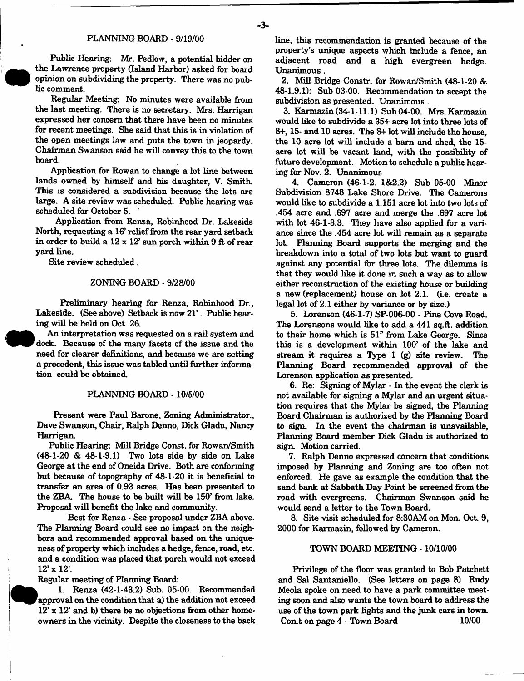#### PLANNING BOARD - 9/19/00

Public Hearing: Mr. Pedlow, a potential bidder on the Lawrence property (Island Harbor) asked for board opinion on subdividing the property. There was no public comment.

Regular Meeting: No minutes were available from the last meeting. There is no secretary. Mrs. Harrigan expressed her concern that there have been no minutes for recent meetings. She said that this is in violation of the open meetings law and puts the town in jeopardy. Chairman Swanson said he will convey this to the town board.

Application for Rowan to change a lot line between lands owned by himself and his daughter, V. Smith. This is considered a subdivision because the lots are large. A site review was scheduled. Public hearing was scheduled for October 5.

Application from Renza, Robinhood Dr. Lakeside North, requesting a 16' relief from the rear yard setback in order to build a 12 x 12' sun porch within 9 ft of rear yard line.

Site review scheduled.

#### ZONING BOARD - 9/28/00

Preliminary hearing for Renza, Robinhood Dr., Lakeside. (See above) Setback is now 21'. Public hearing will be held on Oct. 26.

An interpretation was requested on a rail system and dock. Because of the many facets of the issue and the need for clearer definitions, and because we are setting a precedent, this issue was tabled until further information could be obtained.

#### PLANNING BOARD -10/5/00

Present were Paul Barone, Zoning Administrator., Dave Swanson, Chair, Ralph Denno, Dick Gladu, Nancy Harrigan.

Public Hearing: Mill Bridge Const, for Rowan/Smith (48-1-20 & 48-1-9.1) Two lots side by side on Lake George at the end of Oneida Drive. Both are conforming but because of topography of 48-1-20 it is beneficial to transfer an area of 0.93 acres. Has been presented to the ZBA The house to be built will be 150' from lake. Proposal will benefit the lake and community.

Best for Renza - See proposal under ZBA above. The Planning Board could see no impact on the neighbors and recommended approval based on the uniqueness of property which includes a hedge, fence, road, etc. and a condition was placed that porch would not exceed 12' x 12'.

Regular meeting of Planning Board:

k 1. Renza (42-1-43.2) Sub. 05-00. Recommended 'approval on the condition that a) the addition not exceed 12' x 12' and b) there be no objections from other homeowners in the vicinity. Despite the closeness to the back line, this recommendation is granted because of the property's unique aspects which include a fence, an adjacent road and a high evergreen hedge. Unanimous.

2. Mill Bridge Constr. for Rowan/Smith (48-1-20 &  $48.1.9.1$ : Sub 03.00. Recommendation to accept the subdivision as presented. Unanimous .

3. Karmazin (34-1-11.1) Sub 04-00. Mrs. Karmazin would like to subdivide a 35+ acre lot into three lots of 8+, 15- and 10 acres. The 8+ lot will include the house, the 10 acre lot will include a barn and shed, the 15 acre lot will be vacant land, with the possibility of future development. Motion to schedule a public hearing for Nov. 2. Unanimous

4. Cameron (46-1-2. 1&2.2) Sub 05-00 Minor Subdivision 8748 Lake Shore Drive. The Camerons would like to subdivide a 1.151 acre lot into two lots of .454 acre and .697 acre and merge the .697 acre lot with lot 46-1-3.3. They have also applied for a variance since the .454 acre lot will remain as a separate lot. Planning Board supports the merging and the breakdown into a total of two lots but want to guard against any potential for three lots. The dilemma is that they would like it done in such a way as to allow either reconstruction of the existing house or building a new (replacement) house on lot 2.1. (i.e. create a legal lot of 2.1 either by variance or by size.)

5. Lorenson (46-1-7) SP-006-00 - Pine Cove Road. The Lorensons would like to add a 441 sq.ft. addition to their home which is 51" from Lake George. Since this is a development within 100' of the lake and stream it requires a Type 1 (g) site review. The Planning Board recommended approval of the Lorenson application as presented.

6. Re: Signing of Mylar - In the event the clerk is not available for signing a Mylar and an urgent situation requires that the Mylar be signed, the Planning Board Chairman is authorized by the Planning Board to sign. In the event the chairman is unavailable, Planning Board member Dick Gladu is authorized to sign. Motion carried.

7. Ralph Denno expressed concern that conditions imposed by Planning and Zoning are too often not enforced. He gave as example the condition that the sand bank at Sabbath Day Point be screened from the road with evergreens. Chairman Swanson said he would send a letter to the Town Board.

8. Site visit scheduled for 8:30AM on Mon. Oct. 9, 2000 for Karmazin, followed by Cameron.

#### TOWN BOARD MEETING -10/10/00

Privilege of the floor was granted to Bob Patchett and Sal Santaniello. (See letters on page 8) Rudy Meola spoke on need to have a park committee meeting soon and also wants the town board to address the use of the town park lights and the junk cars in town. Con.t on page 4 - Town Board 10/00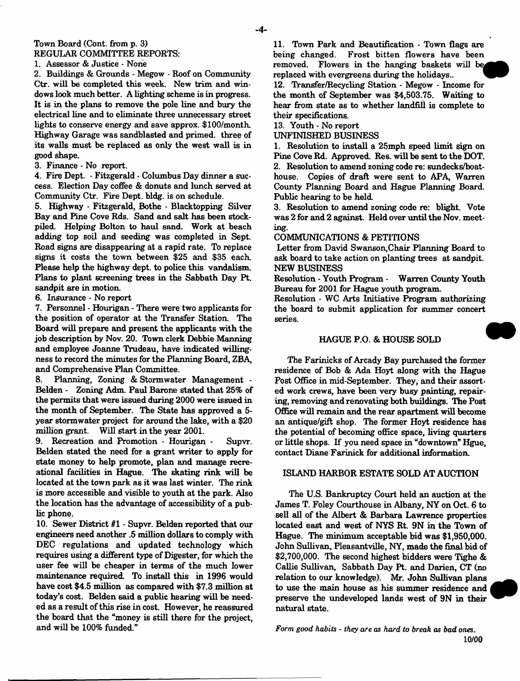#### Town Board (Cont. from **p.** 3) REGULAR COMMITTEE REPORTS:

1. Assessor & Justice - None

2. Buildings & Grounds - Megow - Roof on Community Ctr. will be completed this week. New trim and windows look much better. A lighting scheme is in progress. It is in the plans to remove the pole line and bury the electrical line and to eliminate three unnecessary street lights to conserve energy and save approx. \$ 100/month. Highway Garage was sandblasted and primed, three of its walls must be replaced as only the west wall is in good shape.

3. Finance - No report.

4. Fire Dept. - Fitzgerald - Columbus Day dinner a success. Election Day coffee *&* donuts and lunch served at Community Ctr. Fire Dept. bldg. is on schedule.

5. Highway - Fitzgerald, Bothe - Blacktopping Silver Bay and Pine Cove Rds. Sand and salt has been stockpiled. Helping Bolton to haul sand. Work at beach adding top soil and seeding was completed in Sept. Road signs are disappearing at a rapid rate. To replace signs it costs the town between \$25 and \$35 each. Please help the highway dept, to police this vandalism. Plans to plant screening trees in the Sabbath Day Pt. sandpit are in motion.

6. Insurance - No report

7. Personnel - Hourigan - There were two applicants for the position of operator at the Transfer Station. The Board will prepare and present the applicants with the job description by Nov. 20. Town clerk Debbie Manning and employee Joanne Trudeau, have indicated willingness to record the minutes for the Planning Board, ZBA, and Comprehensive Plan Committee.

8. Planning, Zoning & Stormwater Management - Belden - Zoning Adm. Paul Barone stated that 25% of the permits that were issued during 2000 were issued in the month of September. The State has approved a 5 year stormwater project for around the lake, with a \$20 million grant. Will start in the year 2001.

9. Recreation and Promotion - Hourigan - Supvr. Belden stated the need for a grant writer to apply for state money to help promote, plan and manage recreational facilities in Hague. The skating rink will be located at the town park as it was last winter. The rink is more accessible and visible to youth at the park. Also the location has the advantage of accessibility of a public phone.

10. Sewer District #1 - Supvr. Belden reported that our engineers need another .5 million dollars to comply with DEC regulations and updated technology which requires using a different type of Digester, for which the user fee will be cheaper in terms of the much lower maintenance required. To install this in 1996 would have cost \$4.5 million as compared with \$7.3 million at today's cost. Belden said a public hearing will be needed as a result of this rise in cost. However, he reassured the board that the "money is still there for the project, and will be 100% funded"

11. Town Park and Beautification - Town flags are being changed. Frost bitten flowers have been removed. Flowers in the hanging baskets will be^ replaced with evergreens during the holidays.. \*

12. Transfer/Recycling Station - Megow - Income for the month of September was \$4,503.75. Waiting to hear from state as to whether landfill is complete to their specifications.

13. Youth - No report

UNFINISHED BUSINESS

1. Resolution to install a 25mph speed limit sign on Pine Cove Rd. Approved. Res. will be sent to the DOT. 2. Resolution to amend zoning code re: sundecks/boathouse. Copies of draft were sent to APA, Warren County Planning Board and Hague Planning Board. Public hearing to be held

3. Resolution to amend zoning code re: blight. Vote was 2 for and 2 against. Held over until the Nov. meeting.

COMMUNICATIONS & PETITIONS

Letter from David Swanson, Chair Planning Board to ask board to take action on planting trees at sandpit. NEW BUSINESS

Resolution - Youth Program - Warren County Youth Bureau for 2001 for Hague youth program.

Resolution - WC Arts Initiative Program authorizing the board to submit application for summer concert series.

### HAGUE P.O. & HOUSE SOLD

The Farinicks of Arcady Bay purchased the former residence of Bob & Ada Hoyt along with the Hague Post Office in mid-September. They, and their assorted work crews, have been very busy painting, repairing, removing and renovating both buildings. The Post Office will remain and the rear apartment will become an antique/gift shop. The former Hoyt residence has the potential of becoming office space, living quarters or little shops. If you need space in "downtown" Hgue, contact Diane Farinick for additional information.

## ISLAND HARBOR ESTATE SOLD AT AUCTION

The U.S. Bankruptcy Court held an auction at the James T. Foley Courthouse in Albany, NY on Oct. 6 to sell all of the Albert & Barbara Lawrence properties located east and west of NYS Rt. 9N in the Town of Hague. The minimum acceptable bid was \$1,950,000. John Sullivan, Pleasantville, NY, made the final bid of \$2,700,000. The second highest bidders were Tighe & Callie Sullivan, Sabbath Day Pt. and Darien, CT (no relation to our knowledge). Mr. John Sullivan plans to use the main house as his summer residence and preserve the undeveloped lands west of 9N in their natural state.

*Form good habits* - *they are as hard to break as bad ones*. 10/00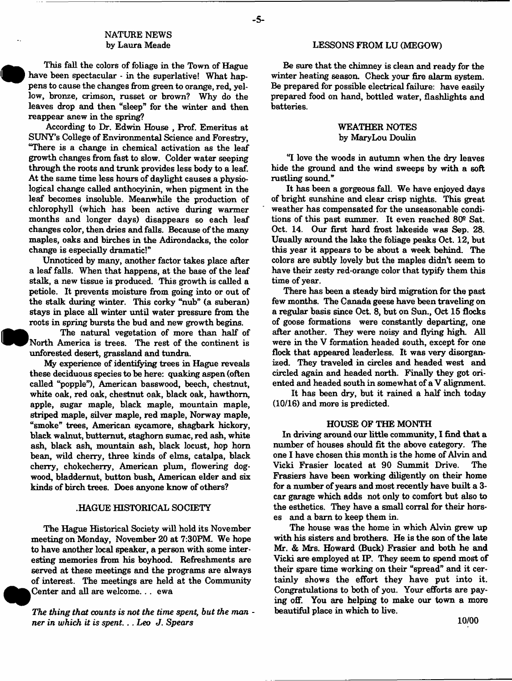## **NATURE NEWS** by Laura Meade

 This fail the colors of foliage in the Town of Hague have been spectacular - in the superlative! What happens to cause the changes from green to orange, red, yellow, bronze, crimson, russet or brown? Why do the leaves drop and then "sleep" for the winter and then reappear anew in the spring?

**•**

According to Dr. Edwin House , Prof. Emeritus at SUNY\*s College of Environmental Science and Forestry, "There is a change in chemical activation as the leaf growth changes from fast to slow. Colder water seeping through the roots and trunk provides less body to a leaf. At the same time less hours of daylight causes a physiological change called anthocyinin, when pigment in the leaf becomes insoluble. Meanwhile the production of chlorophyll (which has been active during warmer months and longer days) disappears so each leaf changes color, then dries and falls. Because of the many maples, oaks and birches in the Adirondacks, the color change is especially dramatic!"

Unnoticed by many, another factor takes place after a leaf falls. When that happens, at the base of the leaf stalk, a new tissue is produced. This growth is called a petiole. It prevents moisture from going into or out of the stalk during winter. This corky "nub" (a suberan) stays in place all winter until water pressure from the roots in spring bursts the bud and new growth begins.

**W** The natural vegetation of more than half of North America is trees. The rest of the continent is unforested desert, grassland and tundra.

My experience of identifying trees in Hague reveals these deciduous species to be here: quaking aspen (often called "popple"), American basswood, beech, chestnut, white oak, red oak, chestnut oak, black oak, hawthorn, apple, sugar maple, black maple, mountain maple, striped maple, silver maple, red maple, Norway maple, "smoke" trees, American sycamore, shagbark hickory, black walnut, butternut, staghom sumac, red ash, white ash, black ash, mountain ash, black locust, hop horn bean, wild cherry, three kinds of elms, catalpa, black cherry, chokecherry, American plum, flowering dogwood, bladdemut, button bush, American elder and six kinds of birch trees. Does anyone know of others?

### .HAGUE HISTORICAL SOCIETY

The Hague Historical Society will hold its November meeting on Monday, November 20 at 7:30FM. We hope to have another local speaker, a person with some interesting memories from his boyhood. Refreshments are served at these meetings and the programs are always of interest. The meetings are held at the Community Center and all are welcome.. . ewa

*The thing that counts is not the time spent, but the man ner in which it is spent... Leo J. Spears* 

#### LESSONS FROM LU (MEGOW)

Be sure that the chimney is clean and ready for the winter heating season. Check your fire alarm system. Be prepared for possible electrical failure: have easily prepared food on hand, bottled water, flashlights and batteries.

## WEATHER NOTES by MaryLou Doulin

"I love the woods in autumn when the dry leaves hide the ground and the wind sweeps by with a soft rustling sound."

It has been a gorgeous fall. We have enjoyed days of bright sunshine and clear crisp nights. This great weather has compensated for the unseasonable conditions of this past summer. It even reached 809 Sat. Oct. 14. Our first hard frost lakeside was Sep. 28. Usually around the lake the foliage peaks Oct. 12, but this year it appears to be about a week behind. The colors are subtly lovely but the maples didn't seem to have their zesty red-orange color that typify them this time of year.

There has been a steady bird migration for the past few months. The Canada geese have been traveling on a regular basis since Oct. 8, but on Sun., Oct 15 flocks of goose formations were constantly departing, one after another. They were noisy and flying high. All were in the V formation headed south, except for one flock that appeared leaderless. It was very disorganized. They traveled in circles and headed west and circled again and headed north. Finally they got oriented and headed south in somewhat of a V alignment.

It has been dry, but it rained a half inch today (10/16) and more is predicted.

#### HOUSE OF THE MONTH

In driving around our little community, I find that a number of houses should fit the above category. The one I have chosen this month is the home of Alvin and Vicki Frasier located at 90 Summit Drive. The Frasiers have been working diligently on their home for a number of years and most recently have built a 3 car garage which adds not only to comfort but also to the esthetics. They have a small corral for their horses and a barn to keep them in.

The house was the home in which Alvin grew up with his sisters and brothers. He is the son of the late Mr. & Mrs. Howard (Buck) Frasier and both he and Vicki are employed at IP. They seem to spend most of their spare time working on their "spread" and it certainly shows the effort they have put into it. Congratulations to both of you. Your efforts are paying off. You are helping to make our town a more beautiful place in which to live.

**-5-**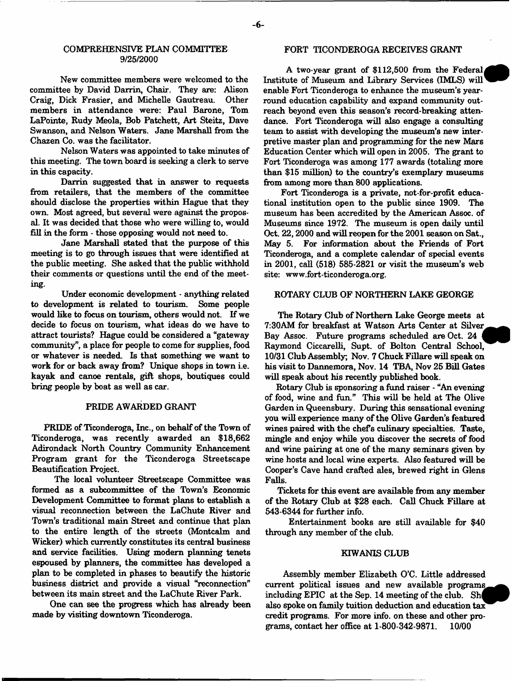#### COMPREHENSIVE PLAN COMMITTEE 9/25/2000

New committee members were welcomed to the committee by David Darrin, Chair. They are: Alison Craig, Dick Frasier, and Michelle Gautreau. members in attendance were: Paul Barone, Tom LaPointe, Rudy Meola, Bob Patchett, Art Steitz, Dave Swanson, and Nelson Waters. Jane Marshall from the Chazen Co. was the facilitator.

Nelson Waters was appointed to take minutes of this meeting. The town board is seeking a clerk to serve in this capacity.

Darrin suggested that in answer to requests from retailers, that the members of the committee should disclose the properties within Hague that they own. Most agreed, but several were against the proposal. It was decided that those who were willing to, would £11 in the form - those opposing would not need to.

Jane Marshall stated that the purpose of this meeting is to go through issues that were identified at the public meeting. She asked that the public withhold their comments or questions until the end of the meeting.

Under economic development - anything related to development is related to tourism. Some people would like to focus on tourism, others would not. If we decide to focus on tourism, what ideas do we have to attract tourists? Hague could be considered a "gateway community", a place for people to come for supplies, food or whatever is needed. Is that something we want to work for or back away from? Unique shops in town i.e. kayak and canoe rentals, gift shops, boutiques could bring people by boat as well as car.

## PRIDE AWARDED GRANT

PRIDE of Ticonderoga, Inc., on behalf of the Town of Ticonderoga, was recently awarded an \$18,662 Adirondack North Country Community Enhancement Program grant for the Ticonderoga Streetscape Beautification Project.

The local volunteer Streetscape Committee was formed as a subcommittee of the Town's Economic Development Committee to format plans to establish a visual reconnection between the LaChute River and Town's traditional main Street and continue that plan to the entire length of the streets (Montcalm and Wicker) which currently constitutes its central business and service facilities. Using modern planning tenets espoused by planners, the committee has developed a plan to be completed in phases to beautify the historic business district and provide a visual "reconnection" between its main street and the LaChute River Park.

One can see the progress which has already been made by visiting downtown Ticonderoga.

#### FORT TICONDEROGA RECEIVES GRANT

A two-year grant of \$112,500 from the Federal, Institute of Museum and Library Services (IMLS) will enable Fort Ticonderoga to enhance the museum's yearround education capability and expand community outreach beyond even this season's record-breaking attendance. Fort Ticonderoga will also engage a consulting team to assist with developing the museum's new interpretive master plan and programming for the new Mars Education Center which will open in 2005. The grant to Fort Ticonderoga was among 177 awards (totaling more than \$15 million) to the country's exemplary museums from among more than 800 applications.

Fort Ticonderoga is a private, not-for-profit educational institution open to the public since 1909. The museum has been accredited by the American Assoc, of Museums since 1972. The museum is open daily until Oct. 22,2000 and will reopen for the 2001 season on Sat., May 5. For information about the Friends of Fort Ticonderoga, and a complete calendar of special events in 2001, call (518) 585-2821 or visit the museum's web site: [www.fort-ticonderoga.org](http://www.fort-ticonderoga.org).

#### ROTARY CLUB OF NORTHERN LAKE GEORGE

The Rotary Club of Northern Lake George meets at 7:30AM for breakfast at Watson Arts Center at Silver^^^^ Bay Assoc. Future programs scheduled are Oct. 24 Raymond Ciccarelli, Supt. of Bolton Central School, 10/31 Club Assembly; Nov. 7 Chuck Fillare will speak on his visit to Dannemora, Nov. 14 TBA, Nov 25 Bill Gates will speak about his recently published book.

Rotary Club is sponsoring a fund raiser - "An evening of food, wine and fun." This will be held at The Olive Garden in Queensbury. During this sensational evening you will experience many of the Olive Garden's featured wines paired with the chefs culinary specialties. Taste, mingle and enjoy while you discover the secrets of food and wine pairing at one of the many seminars given by wine hosts and local wine experts. Also featured will be Cooper's Cave hand crafted ales, brewed right in Glens Falls.

Tickets for this event are available from any member of the Rotary Club at \$28 each. Call Chuck Fillare at 543-6344 for further info.

Entertainment books are still available for \$40 through any member of the club.

#### KIWANIS CLUB

Assembly member Elizabeth O'C. Little addressed current political issues and new available programs including EPIC at the Sep. 14 meeting of the club. Sh also spoke on family tuition deduction and education tax credit programs. For more info, on these and other programs, contact her office at 1-800-342-9871. 10/00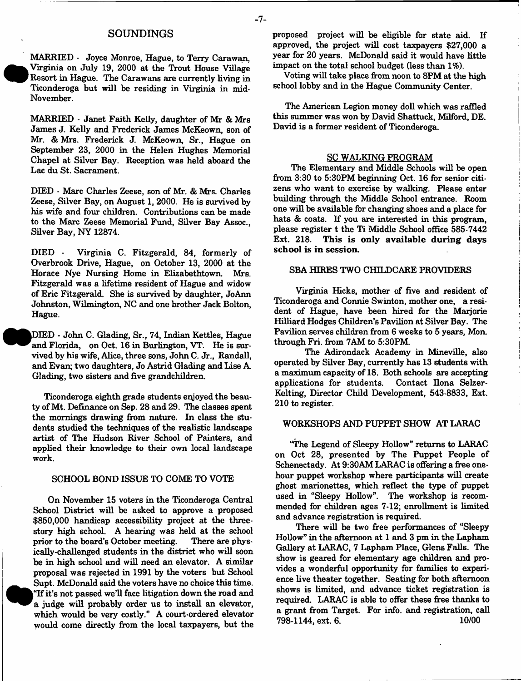#### **SOUNDINGS**

MARRIED - Joyce Monroe, Hague, to Terry Carawan, Virginia on July 19, 2000 at the Trout House Village Resort in Hague. The Carawans are currently living in Ticonderoga but will be residing in Virginia in mid-November.

MARRIED - Janet Faith Kelly, daughter of Mr & Mrs James J. Kelly and Frederick James McKeown, son of Mr. & Mrs. Frederick J. McKeown, Sr., Hague on September 23, 2000 in the Helen Hughes Memorial Chapel at Silver Bay. Reception was held aboard the Lac du St. Sacrament.

DIED - Marc Charles Zeese, son of Mr. & Mrs. Charles Zeese, Silver Bay, on August 1, 2000. He is survived by his wife and four children. Contributions can be made to the Marc Zeese Memorial Fund, Silver Bay Assoc., Silver Bay, NY 12874.

DIED - Virginia C. Fitzgerald, 84, formerly of Overbrook Drive, Hague, on October 13, 2000 at the Horace Nye Nursing Home in Elizabethtown. Mrs. Fitzgerald was a lifetime resident of Hague and widow of Eric Fitzgerald. She is survived by daughter, JoAnn Johnston, Wilmington, NC and one brother Jack Bolton, Hague.

IDIED - John C. Glading, Sr., 74, Indian Kettles, Hague and Florida, on Oct. 16 in Burlington, VT. He is survived by his wife, Alice, three sons, John C. Jr., Randall, and Evan; two daughters, Jo Astrid Glading and Lise A. Glading, two sisters and five grandchildren.

Ticonderoga eighth grade students enjoyed the beauty of Mt. Definance on Sep. 28 and 29. The classes spent the mornings drawing from nature. In class the students studied the techniques of the realistic landscape artist of The Hudson River School of Painters, and applied their knowledge to their own local landscape work.

#### SCHOOL BOND ISSUE TO COME TO VOTE

On November 15 voters in the Ticonderoga Central School District will be asked to approve a proposed \$850,000 handicap accessibility project at the threestory high school. A hearing was held at the school prior to the board's October meeting. There are physically-challenged students in the district who will soon be in high school and will need an elevator. A similar proposal was rejected in 1991 by the voters but School Supt. McDonald said the voters have no choice this time. | "If it's not passed we'll face litigation down the road and a judge will probably order us to install an elevator, which would be very costly." A court-ordered elevator would come directly from the local taxpayers, but the proposed project will be eligible for state aid. If approved, the project will cost taxpayers \$27,000 a year for 20 years. McDonald said it would have little impact on the total school budget (less than 1%).

Voting will take place from noon to 8PM at the high school lobby and in the Hague Community Center.

The American Legion money doll which was raffled this summer was won by David Shattuck, Milford, DE. David is a former resident of Ticonderoga.

#### SC WALKING PROGRAM

The Elementary and Middle Schools will be open from 3:30 to 5:30PM beginning Oct. 16 for senior citizens who want to exercise by walking. Please enter building through the Middle School entrance. Room one will be available for changing shoes and a place for hats & coats. If you are interested in this program, please register t the Ti Middle School office 585-7442 Ext. 218. This is only available during days school is in session.

#### SBA HIRES TWO CHILDCARE PROVIDERS

Virginia Hicks, mother of five and resident of Ticonderoga and Connie Swinton, mother one, a resident of Hague, have been hired for the Marjorie Hilliard Hodges Children's Pavilion at Silver Bay. The Pavilion serves children from 6 weeks to 5 years, Mon. through Fri. from 7AM to 5:30PM.

The Adirondack Academy in Mineville, also operated by Silver Bay, currently has 13 students with a maximum capacity of 18. Both schools are accepting applications for students. Contact Hona Selzer-Kelting, Director Child Development, 543-8833, Ext. 210 to register.

#### WORKSHOPS AND PUPPET SHOW AT LARAC

"The Legend of Sleepy Hollow" returns to LARAC on Oct 28, presented by The Puppet People of Schenectady. At 9:30AM LARAC is offering a free onehour puppet workshop where participants will create ghost marionettes, which reflect the type of puppet used in "Sleepy Hollow". The workshop is recommended for children ages 7-12; enrollment is limited and advance registration is required.

There will be two free performances of "Sleepy Hollow" in the afternoon at 1 and 3 pm in the Lapham Gallery at LARAC, 7 Lapham Place, Glens Falls. The show is geared for elementary age children and provides a wonderful opportunity for families to experience live theater together. Seating for both afternoon shows is limited, and advance ticket registration is required. LARAC is able to offer these free thanks to a grant from Target. For info, and registration, call 798-1144, ext. 6. 10/00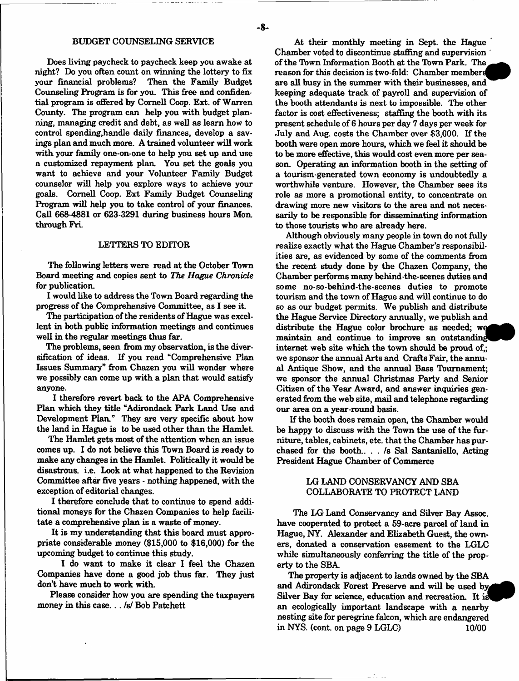Does living paycheck to paycheck keep you awake at night? Do you often count on winning the lottery to fix your financial problems? Then the Family Budget Counseling Program is for you. This free and confidential program is offered by Cornell Coop. Ext. of Warren County. The program can help you with budget planning, managing credit and debt, as well as learn how to control spending,handle daily finances, develop a savings plan and much more. A trained volunteer will work with your family one-on-one to help you set up and use a customized repayment plan. You set the goals you want to achieve and your Volunteer Family Budget counselor will help you explore ways to achieve your goals. Cornell Coop. Ext Family Budget Counseling Program will help you to take control of your finances. Call 668-4881 or 623-3291 during business hours Mon. through Fri.

#### LETTERS TO EDITOR

The following letters were read at the October Town Board meeting and copies sent to *The Hague Chronicle* for publication.

I would like to address the Town Board regarding the progress of the Comprehensive Committee, as I see it.

The participation of the residents of Hague was excellent in both public information meetings and continues well in the regular meetings thus far.

The problems, seen from my observation, is the diversification of ideas. If you read "Comprehensive Plan Issues Summary" from Chazen you will wonder where we possibly can come up with a plan that would satisfy anyone.

I therefore revert hack to the APA Comprehensive Plan which they title "Adirondack Park Land Use and Development Plan." They are very specific about how the land in Hague is to be used other than the Hamlet.

The Hamlet gets most of the attention when an issue comes up. I do not believe this Tbwn Board is ready to make any changes in the Hamlet. Politically it would be disastrous, i.e. Look at what happened to the Revision Committee after five years - nothing happened, with the exception of editorial changes.

I therefore conclude that to continue to spend additional moneys for the Chazen Companies to help facilitate a comprehensive plan is a waste of money.

It is my understanding that this board must appropriate considerable money (\$15,000 to \$16,000) for the upcoming budget to continue this study.

I do want to make it clear I feel the Chazen Companies have done a good job thus far. They just don't have much to work with.

Please consider how you are spending the taxpayers money in this case.. . *Isf* Bob Patchett

At their monthly meeting in Sept. the Hague Chamber voted to discontinue staffing and supervision of the Town Information Booth at the Town Park. The reason for this decision is two-fold: Chamber members are all busy in the summer with their businesses, and keeping adequate track of payroll and supervision of the booth attendants is next to impossible. The other factor is cost effectiveness; staffing the booth with its present schedule of 6 hours per day 7 days per week for July and Aug. costs the Chamber over \$3,000. If the booth were open more hours, which we feel it should be to be more effective, this would cost even more per season. Operating an information booth in the setting of a tourism-generated town economy is undoubtedly a worthwhile venture. However, the Chamber sees its role as more a promotional entity, to concentrate on drawing more new visitors to the area and not necessarily to be responsible for disseminating information to those tourists who are already here.

Although obviously many people in town do not fully realize exactly what the Hague Chamber's responsibilities are, as evidenced by some of the comments from the recent study done by the Chazen Company, the Chamber performs many behind-the-scenes duties and some no-so-behind-the-scenes duties to promote tourism and the town of Hague and will continue to do so as our budget permits. We publish and distribute the Hague Service Directory annually, we publish and distribute the Hague color brochure as needed; we maintain and continue to improve an outstanding internet web site which the town should be proud of,; we sponsor the annual Arts and Crafts Fair, the annual Antique Show, and the annual Bass Tournament; we sponsor the annual Christmas Party and Senior Citizen of the Year Award, and answer inquiries generated from the web site, mail and telephone regarding our area on a year-round basis.

If the booth does remain open, the Chamber would be happy to discuss with the Town the use of the furniture, tables, cabinets, etc. that the Chamber has purchased for the booth.. . . /s Sal Santaniello, Acting President Hague Chamber of Commerce

## LG LAND CONSERVANCY AND SBA COLLABORATE TO PROTECT LAND

The LG Land Conservancy and Silver Bay Assoc, have cooperated to protect a 59-acre parcel of land in Hague, NY. Alexander and Elizabeth Guest, the owners, donated a conservation easement to the LGLC while simultaneously conferring the title of the property to the SBA

The property is adjacent to lands owned by the SBA and Adirondack Forest Preserve and will be used Silver Bay for science, education and recreation. It is an ecologically important landscape with a nearby nesting site for peregrine falcon, which are endangered in NYS. (cont. on page 9 LGLC) 10/00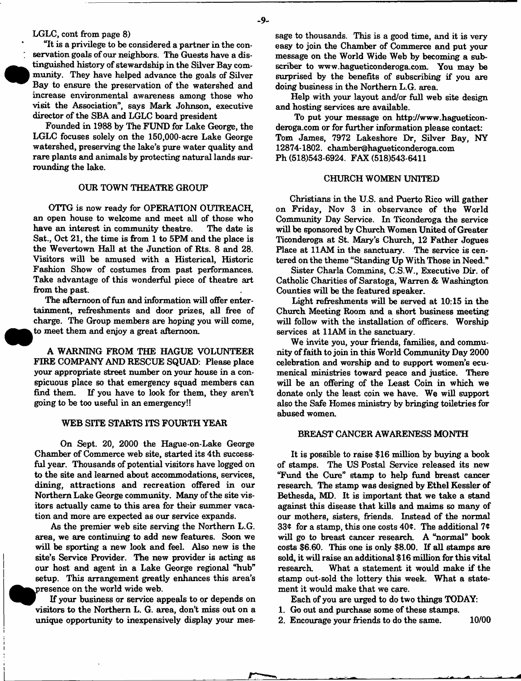LGLC, cont from page 8)

"It is a privilege to be considered a partner in the conservation goals of our neighbors. The Guests have a distinguished history of stewardship in the Silver Bay community. They have helped advance the goals of Silver Bay to ensure the preservation of the watershed and increase environmental awareness among those who visit the Association", says Mark Johnson, executive director of the SBA and LGLC board president

Founded in 1988 by The FUND for Lake George, the LGLC focuses solely on the 150,000-acre Lake George watershed, preserving the lake's pure water quality and rare plants and animals by protecting natural lands surrounding the lake.

#### OUR TOWN THEATRE GROUP

OTTG is now ready for OPERATION OUTREACH, an open house to welcome and meet all of those who have an interest in community theatre. The date is Sat., Oct 21, the time is from 1 to 5PM and the place is the Wevertown Hall at the Junction of Rts. 8 and 28. Visitors will be amused with a Histerical, Historic Fashion Show of costumes from past performances. Take advantage of this wonderful piece of theatre art from the past.

The afternoon of fun and information will offer entertainment, refreshments and door prizes, all free of charge. The Group members are hoping you will come, to meet them and enjoy a great afternoon.

A WARNING FROM THE HAGUE VOLUNTEER FIRE COMPANY AND RESCUE SQUAD: Please place your appropriate street number on your house in a conspicuous place so that emergency squad members can find them. If you have to look for them, they aren't going to be too useful in an emergency!!

#### WEB SITE STARTS ITS FOURTH YEAR

On Sept. 20, 2000 the Hague-on-Lake George Chamber of Commerce web site, started its 4th successful year. Thousands of potential visitors have logged on to the site and learned about accommodations, services, dining, attractions and recreation offered in our Northern Lake George community. Many of the site visitors actually came to this area for their summer vacation and more are expected as our service expands.

As the premier web site serving the Northern L.G. area, we are continuing to add new features. Soon we will be sporting a new look and feel. Also new is the site's Service Provider. The new provider is acting as our host and agent in a Lake George regional "hub" setup. This arrangement greatly enhances this area's .presence on the world wide web.

If your business or service appeals to or depends on visitors to the Northern L. G. area, don't miss out on a unique opportunity to inexpensively display your message to thousands. This is a good time, and it is very easy to join the Chamber of Commerce and put your message on the World Wide Web by becoming a subscriber to [www.hagueticonderoga.com.](http://www.hagueticonderoga.com) You may be surprised by the benefits of subscribing if you are doing business in the Northern L.G. area.

Help with your layout and/or full web site design and hosting services are available.

To put your message on http^/www.hagueticonderoga.com or for further information please contact: Tom James, 7972 Lakeshore Dr, Silver Bay, NY 12874-1802. [chamber@hagueticonderoga.com](mailto:chamber@hagueticonderoga.com)  Ph (518)543-6924. FAX (518)543-6411

#### CHURCH WOMEN UNTIED

Christians in the U.S. and Puerto Rico will gather on Friday, Nov 3 in observance of the World Community Day Service. In Ticonderoga the service will be sponsored by Church Women United of Greater Ticonderoga at St. Mary's Church, 12 Father Jogues Place at 11AM in the sanctuary. The service is centered on the theme "Standing Up With Those in Need."

Sister Charla Commins, C.S.W., Executive Dir. of Catholic Charities of Saratoga, Warren & Washington Counties will be the featured speaker.

Light refreshments will be served at 10:15 in the Church Meeting Room and a short business meeting will follow with the installation of officers. Worship services at 11AM in the sanctuary.

We invite you, your friends, families, and community of faith to join in this World Community Day 2000 celebration and worship and to support women's ecumenical ministries toward peace and justice. There will be an offering of the Least Coin in which we donate only the least coin we have. We will support also the Safe Homes ministry by bringing toiletries for abused women.

#### BREAST CANCER AWARENESS MONTH

It is possible to raise \$16 million by buying a book of stamps. The US Postal Service released its new "Fund the Cure" stamp to help fund breast cancer research. The stamp was designed by Ethel Kessler of Bethesda, MD. It is important that we take a stand against this disease that kills and maims so many of our mothers, sisters, friends. Instead of the normal 33 $\epsilon$  for a stamp, this one costs 40 $\epsilon$ . The additional 7 $\epsilon$ will go to breast cancer research. A "normal" book costs \$6.60. This one is only \$8.00. If all stamps are sold, it will raise an additional \$ 16 million for this vital research. What a statement it would make if the stamp out-sold the lottery this week. What a statement it would make that we care.

Each of you are urged to do two things TODAY:

- 1. Go out and purchase some of these stamps.
- 2. Encourage your friends to do the same. 10/00